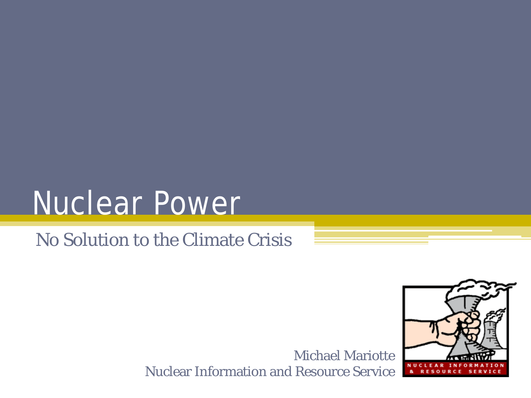# Nuclear Power

No Solution to the Climate Crisis

Michael Mariotte Nuclear Information and Resource Service

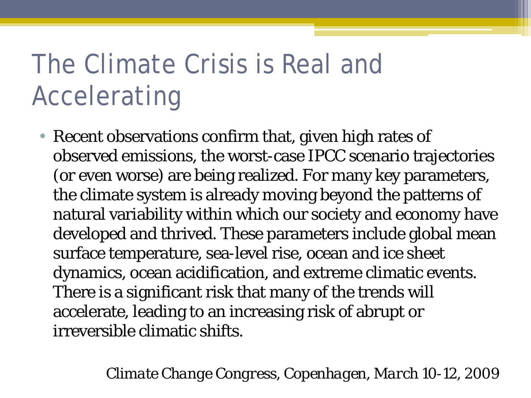### The Climate Crisis is Real and Accelerating

• Recent observations confirm that, given high rates of observed emissions, the worst-case IPCC scenario trajectories (or even worse) are being realized. For many key parameters, the climate system is already moving beyond the patterns of natural variability within which our society and economy have developed and thrived. These parameters include global mean surface temperature, sea-level rise, ocean and ice sheet dynamics, ocean acidification, and extreme climatic events. There is a significant risk that many of the trends will accelerate, leading to an increasing risk of abrupt or irreversible climatic shifts.

*Climate Change Congress, Copenhagen, March 10-12, 2009*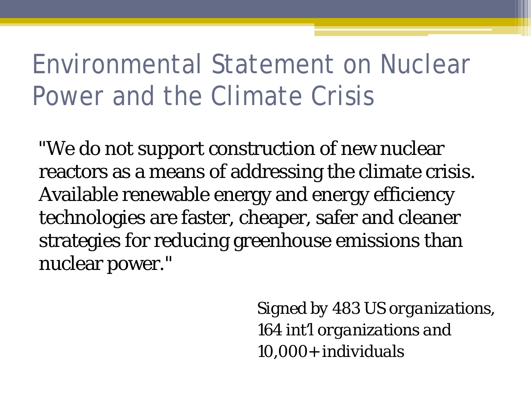#### Environmental Statement on Nuclear Power and the Climate Crisis

"We do not support construction of new nuclear reactors as a means of addressing the climate crisis. Available renewable energy and energy efficiency technologies are faster, cheaper, safer and cleaner strategies for reducing greenhouse emissions than nuclear power."

> *Signed by 483 US organizations, 164 int'l organizations and 10,000+ individuals*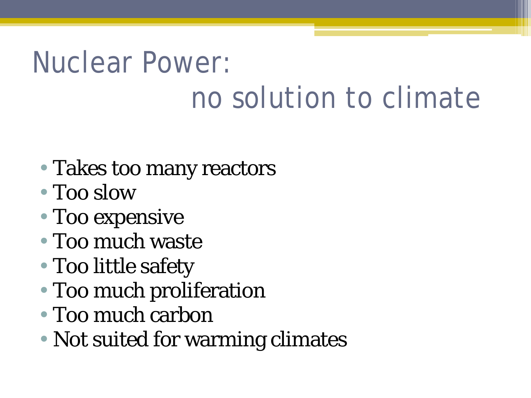# Nuclear Power: no solution to climate

#### • Takes too many reactors

- Too slow
- Too expensive
- Too much waste
- Too little safety
- Too much proliferation
- Too much carbon
- Not suited for warming climates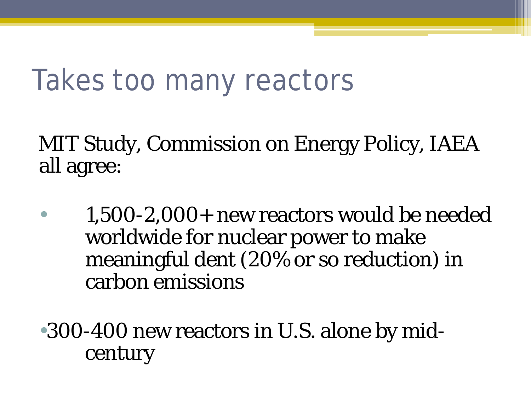### Takes too many reactors

MIT Study, Commission on Energy Policy, IAEA all agree:

• 1,500-2,000+ new reactors would be needed worldwide for nuclear power to make meaningful dent (20% or so reduction) in carbon emissions

•300-400 new reactors in U.S. alone by midcentury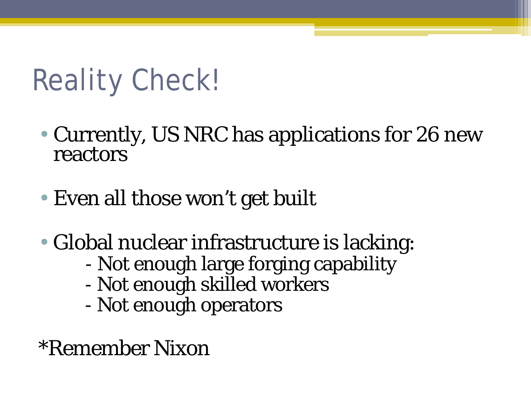# Reality Check!

- Currently, US NRC has applications for 26 new reactors
- Even all those won't get built
- Global nuclear infrastructure is lacking:
	- Not enough large forging capability
	- Not enough skilled workers
	- Not enough operators
- \*Remember Nixon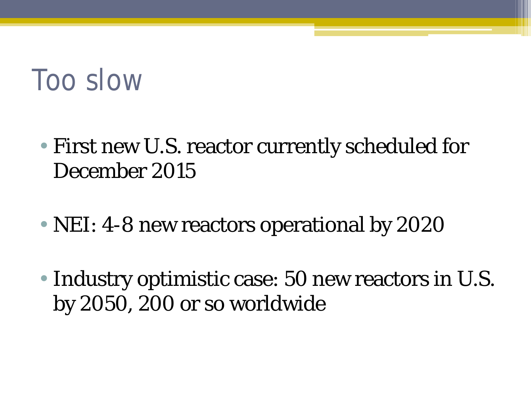## Too slow

- First new U.S. reactor currently scheduled for December 2015
- NEI: 4-8 new reactors operational by 2020
- Industry optimistic case: 50 new reactors in U.S. by 2050, 200 or so worldwide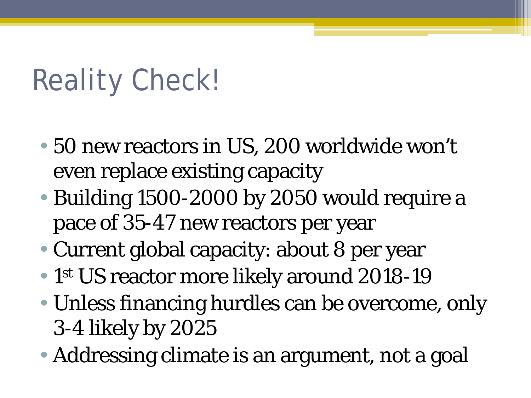# Reality Check!

- 50 new reactors in US, 200 worldwide won't even replace existing capacity
- Building 1500-2000 by 2050 would require a pace of 35-47 new reactors per year
- Current global capacity: about 8 per year
- 1<sup>st</sup> US reactor more likely around 2018-19
- Unless financing hurdles can be overcome, only 3-4 likely by 2025
- Addressing climate is an argument, not a goal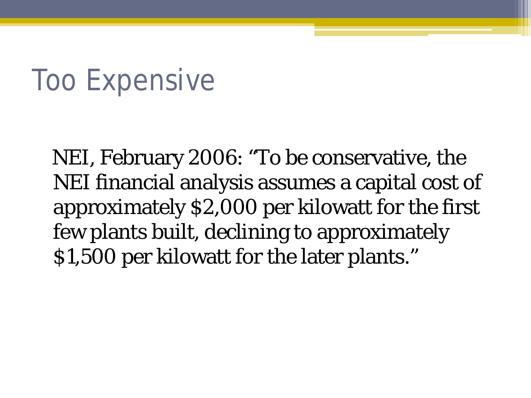## Too Expensive

NEI, February 2006: "To be conservative, the NEI financial analysis assumes a capital cost of approximately \$2,000 per kilowatt for the first few plants built, declining to approximately \$1,500 per kilowatt for the later plants."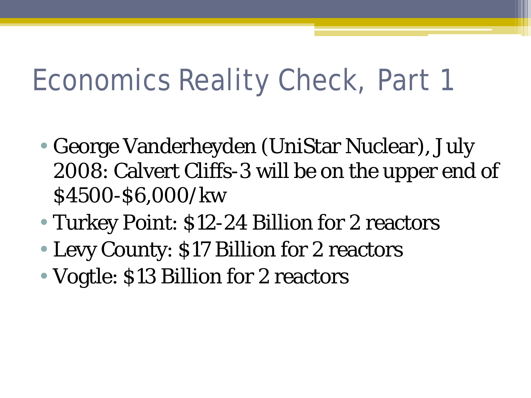- George Vanderheyden (UniStar Nuclear), July 2008: Calvert Cliffs-3 will be on the upper end of \$4500-\$6,000/kw
- Turkey Point: \$12-24 Billion for 2 reactors
- Levy County: \$17 Billion for 2 reactors
- Vogtle: \$13 Billion for 2 reactors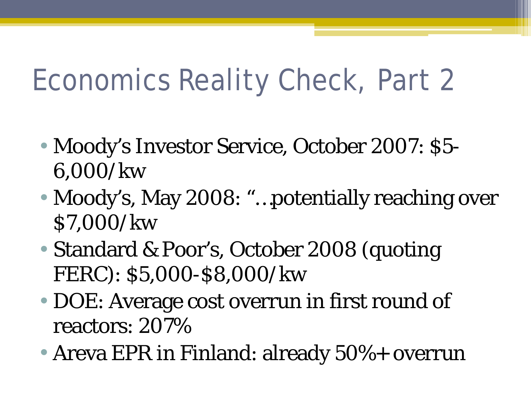- Moody's Investor Service, October 2007: \$5- 6,000/kw
- Moody's, May 2008: "...potentially reaching over \$7,000/kw
- Standard & Poor's, October 2008 (quoting FERC): \$5,000-\$8,000/kw
- DOE: Average cost overrun in first round of reactors: 207%
- Areva EPR in Finland: already 50%+ overrun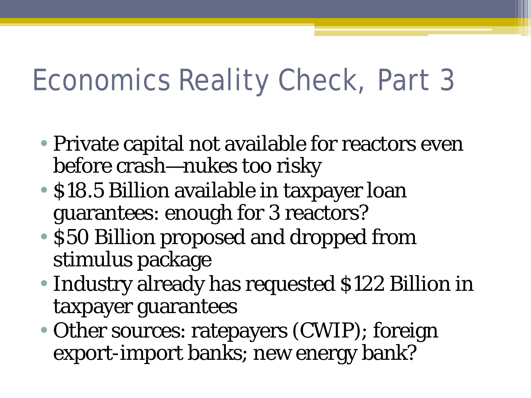- Private capital not available for reactors even before crash—nukes too risky
- \$18.5 Billion available in taxpayer loan guarantees: enough for 3 reactors?
- \$50 Billion proposed and dropped from stimulus package
- Industry already has requested \$122 Billion in taxpayer guarantees
- Other sources: ratepayers (CWIP); foreign export-import banks; new energy bank?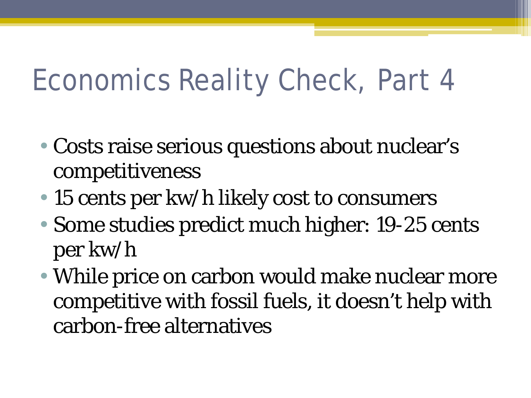- Costs raise serious questions about nuclear's competitiveness
- 15 cents per kw/h likely cost to consumers
- Some studies predict much higher: 19-25 cents per kw/h
- While price on carbon would make nuclear more competitive with fossil fuels, it doesn't help with carbon-free alternatives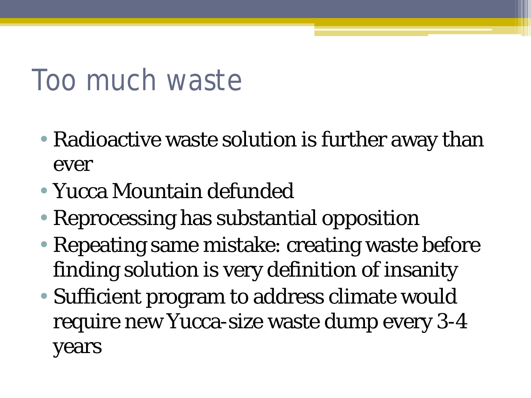#### Too much waste

- Radioactive waste solution is further away than ever
- Yucca Mountain defunded
- Reprocessing has substantial opposition
- Repeating same mistake: creating waste before finding solution is very definition of insanity
- Sufficient program to address climate would require new Yucca-size waste dump every 3-4 years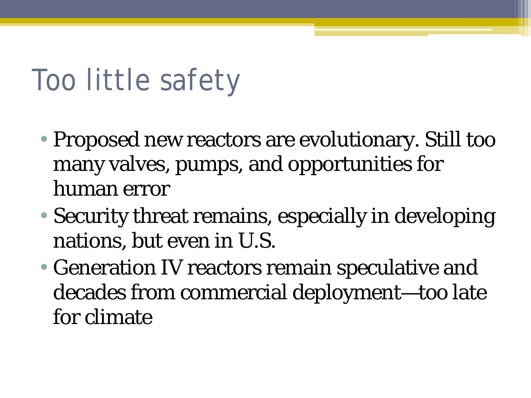## Too little safety

- Proposed new reactors are evolutionary. Still too many valves, pumps, and opportunities for human error
- Security threat remains, especially in developing nations, but even in U.S.
- Generation IV reactors remain speculative and decades from commercial deployment—too late for climate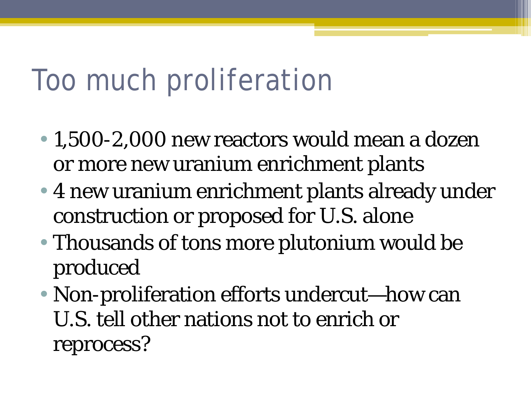## Too much proliferation

- 1,500-2,000 new reactors would mean a dozen or more new uranium enrichment plants
- 4 new uranium enrichment plants already under construction or proposed for U.S. alone
- Thousands of tons more plutonium would be produced
- Non-proliferation efforts undercut—how can U.S. tell other nations not to enrich or reprocess?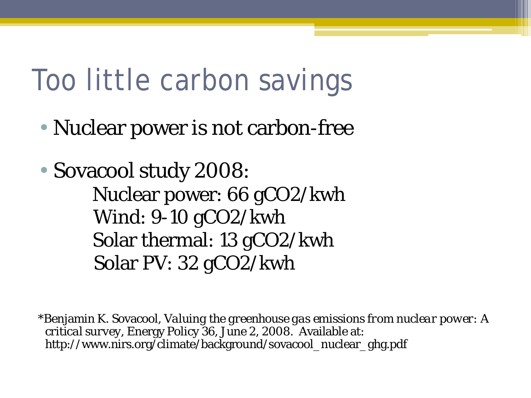## Too little carbon savings

• Nuclear power is not carbon-free

• Sovacool study 2008: Nuclear power: 66 gCO2/kwh Wind: 9-10 gCO2/kwh Solar thermal: 13 gCO2/kwh Solar PV: 32 gCO2/kwh

\*Benjamin K. Sovacool, *Valuing the greenhouse gas emissions from nuclear power: A critical survey*, Energy Policy 36, June 2, 2008. Available at: http://www.nirs.org/climate/background/sovacool\_nuclear\_ghg.pdf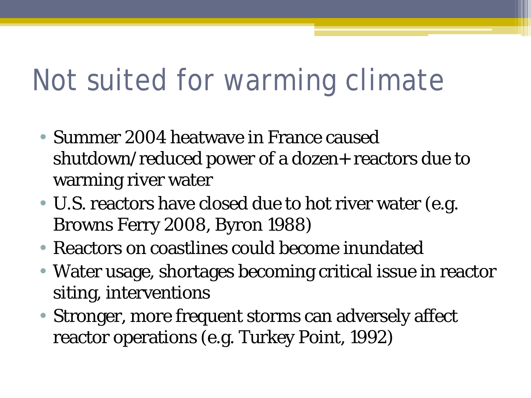## Not suited for warming climate

- Summer 2004 heatwave in France caused shutdown/reduced power of a dozen+ reactors due to warming river water
- U.S. reactors have closed due to hot river water (e.g. Browns Ferry 2008, Byron 1988)
- Reactors on coastlines could become inundated
- Water usage, shortages becoming critical issue in reactor siting, interventions
- Stronger, more frequent storms can adversely affect reactor operations (e.g. Turkey Point, 1992)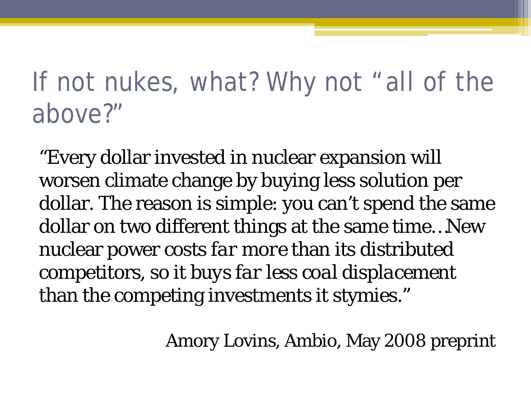#### If not nukes, what? Why not "all of the above?"

"Every dollar invested in nuclear expansion will worsen climate change by buying less solution per dollar. The reason is simple: you can't spend the same dollar on two different things at the same time…New nuclear power *costs far more* than its distributed competitors, so it *buys far less coal displacement* than the competing investments it stymies."

Amory Lovins, Ambio, May 2008 preprint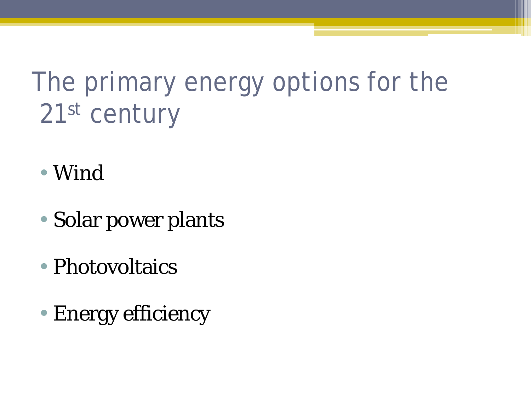### The primary energy options for the 21st century

- Wind
- Solar power plants
- Photovoltaics
- Energy efficiency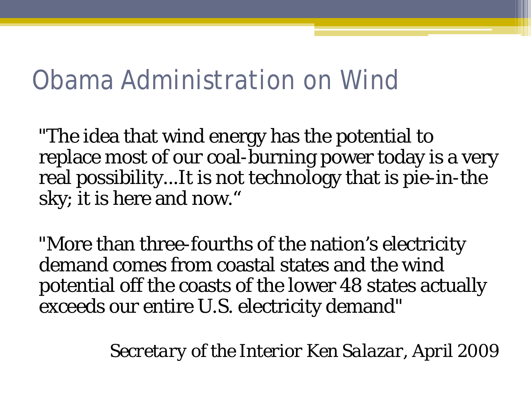#### Obama Administration on Wind

"The idea that wind energy has the potential to replace most of our coal-burning power today is a very real possibility...It is not technology that is pie-in-the sky; it is here and now."

"More than three-fourths of the nation's electricity demand comes from coastal states and the wind potential off the coasts of the lower 48 states actually exceeds our entire U.S. electricity demand"

*Secretary of the Interior Ken Salazar, April 2009*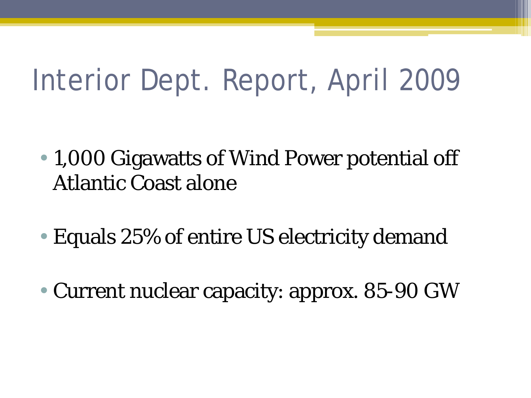# Interior Dept. Report, April 2009

- 1,000 Gigawatts of Wind Power potential off Atlantic Coast alone
- Equals 25% of entire US electricity demand
- Current nuclear capacity: approx. 85-90 GW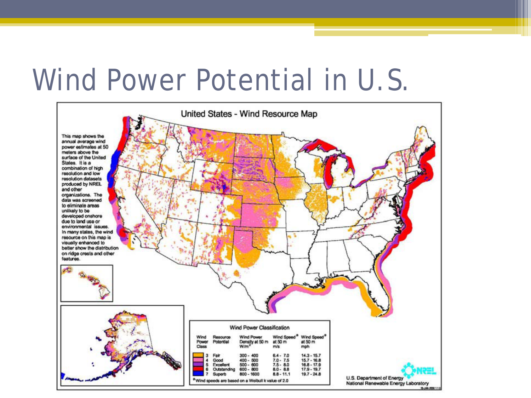#### Wind Power Potential in U.S.

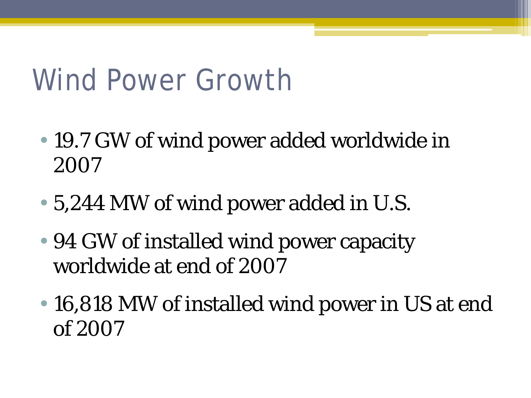### Wind Power Growth

- 19.7 GW of wind power added worldwide in 2007
- 5,244 MW of wind power added in U.S.
- 94 GW of installed wind power capacity worldwide at end of 2007
- 16,818 MW of installed wind power in US at end of 2007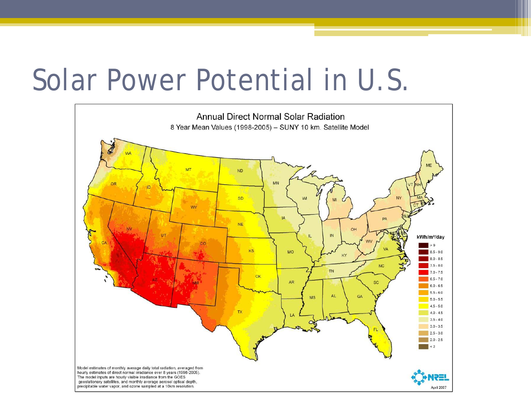### Solar Power Potential in U.S.

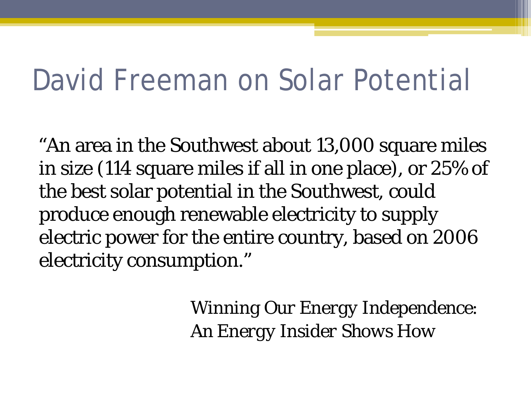### David Freeman on Solar Potential

"An area in the Southwest about 13,000 square miles in size (114 square miles if all in one place), or 25% of the best solar potential in the Southwest, could produce enough renewable electricity to supply electric power for the entire country, based on 2006 electricity consumption*."*

> *Winning Our Energy Independence: An Energy Insider Shows How*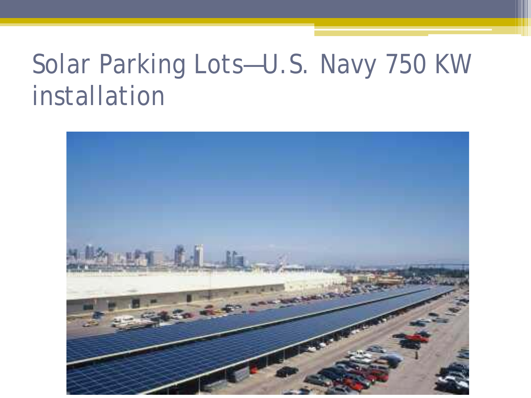#### Solar Parking Lots—U.S. Navy 750 KW installation

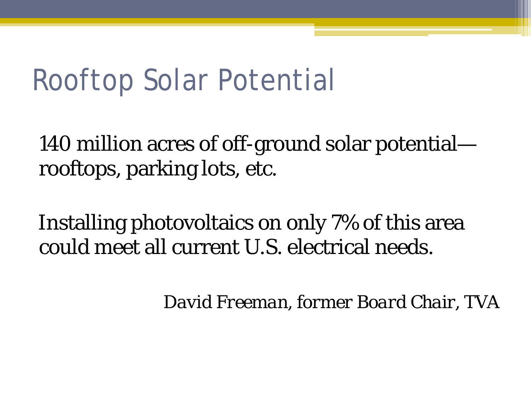### Rooftop Solar Potential

140 million acres of off-ground solar potential rooftops, parking lots, etc.

Installing photovoltaics on only 7% of this area could meet all current U.S. electrical needs.

*David Freeman, former Board Chair, TVA*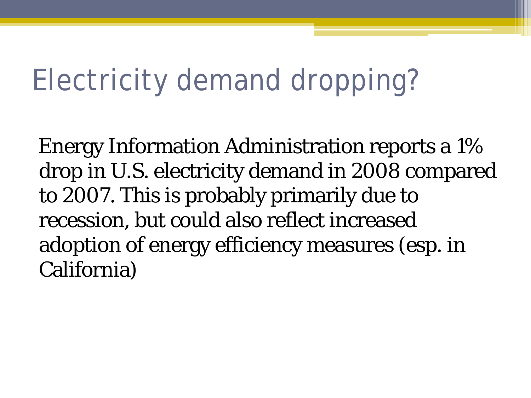## Electricity demand dropping?

Energy Information Administration reports a 1% drop in U.S. electricity demand in 2008 compared to 2007. This is probably primarily due to recession, but could also reflect increased adoption of energy efficiency measures (esp. in California)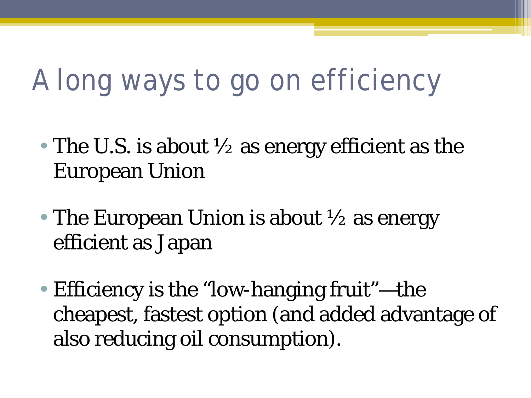# A long ways to go on efficiency

- The U.S. is about  $\frac{1}{2}$  as energy efficient as the European Union
- The European Union is about  $\frac{1}{2}$  as energy efficient as Japan
- Efficiency is the "low-hanging fruit"—the cheapest, fastest option (and added advantage of also reducing oil consumption).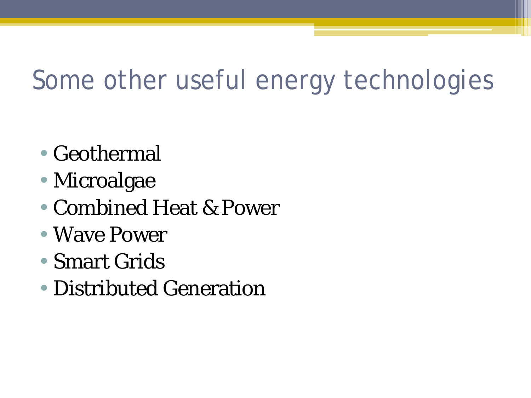### Some other useful energy technologies

- Geothermal
- Microalgae
- Combined Heat & Power
- Wave Power
- Smart Grids
- Distributed Generation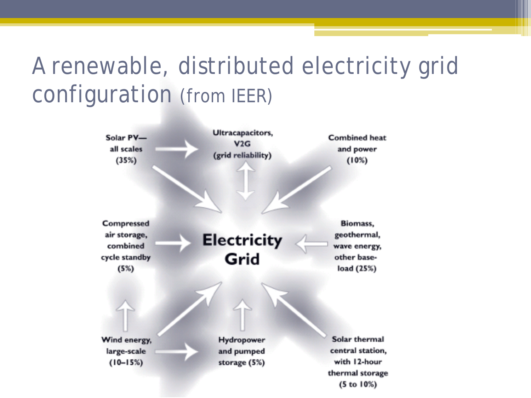#### A renewable, distributed electricity grid configuration (from IEER)

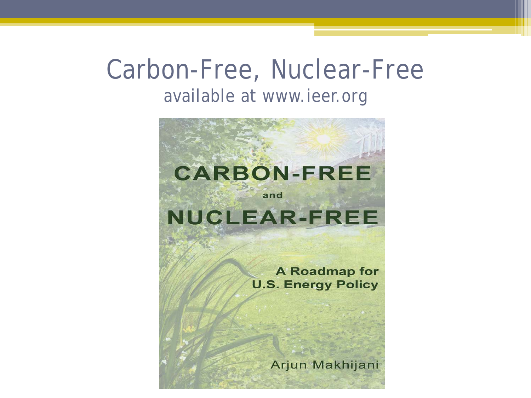#### Carbon-Free, Nuclear-Free available at www.ieer.org